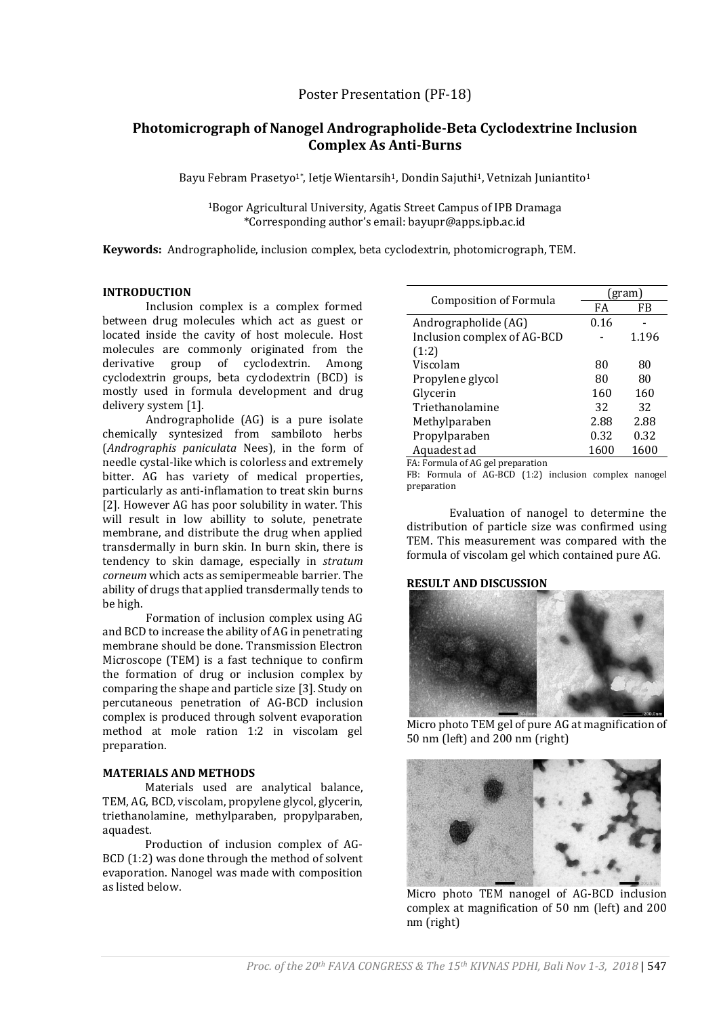# **Photomicrograph of Nanogel Andrographolide-Beta Cyclodextrine Inclusion Complex As Anti-Burns**

Bayu Febram Prasetyo<sup>1\*</sup>, Ietje Wientarsih<sup>1</sup>, Dondin Sajuthi<sup>1</sup>, Vetnizah Juniantito<sup>1</sup>

<sup>1</sup>Bogor Agricultural University, Agatis Street Campus of IPB Dramaga \*Corresponding author's email: bayupr@apps.ipb.ac.id

**Keywords:** Andrographolide, inclusion complex, beta cyclodextrin, photomicrograph, TEM.

# **INTRODUCTION**

Inclusion complex is a complex formed between drug molecules which act as guest or located inside the cavity of host molecule. Host molecules are commonly originated from the derivative group of cyclodextrin. Among cyclodextrin groups, beta cyclodextrin (BCD) is mostly used in formula development and drug delivery system [1].

Andrographolide (AG) is a pure isolate chemically syntesized from sambiloto herbs (*Andrographis paniculata* Nees), in the form of needle cystal-like which is colorless and extremely bitter. AG has variety of medical properties, particularly as anti-inflamation to treat skin burns [2]. However AG has poor solubility in water. This will result in low abillity to solute, penetrate membrane, and distribute the drug when applied transdermally in burn skin. In burn skin, there is tendency to skin damage, especially in *stratum corneum* which acts as semipermeable barrier. The ability of drugs that applied transdermally tends to be high.

Formation of inclusion complex using AG and BCD to increase the ability of AG in penetrating membrane should be done. Transmission Electron Microscope (TEM) is a fast technique to confirm the formation of drug or inclusion complex by comparing the shape and particle size [3]. Study on percutaneous penetration of AG-BCD inclusion complex is produced through solvent evaporation method at mole ration 1:2 in viscolam gel preparation.

### **MATERIALS AND METHODS**

Materials used are analytical balance, TEM, AG, BCD, viscolam, propylene glycol, glycerin, triethanolamine, methylparaben, propylparaben, aquadest.

Production of inclusion complex of AG-BCD (1:2) was done through the method of solvent evaporation. Nanogel was made with composition as listed below.

| Composition of Formula      | (gram) |       |
|-----------------------------|--------|-------|
|                             | FA     | FB    |
| Andrographolide (AG)        | 0.16   |       |
| Inclusion complex of AG-BCD |        | 1.196 |
| (1:2)                       |        |       |
| Viscolam                    | 80     | 80    |
| Propylene glycol            | 80     | 80    |
| Glycerin                    | 160    | 160   |
| Triethanolamine             | 32     | 32    |
| Methylparaben               | 2.88   | 2.88  |
| Propylparaben               | 0.32   | 0.32  |
| Aquadest ad                 | 1600   | 1600  |
|                             |        |       |

FA: Formula of AG gel preparation

FB: Formula of AG-BCD (1:2) inclusion complex nanogel preparation

Evaluation of nanogel to determine the distribution of particle size was confirmed using TEM. This measurement was compared with the formula of viscolam gel which contained pure AG.

### **RESULT AND DISCUSSION**



Micro photo TEM gel of pure AG at magnification of 50 nm (left) and 200 nm (right)



Micro photo TEM nanogel of AG-BCD inclusion complex at magnification of 50 nm (left) and 200 nm (right)